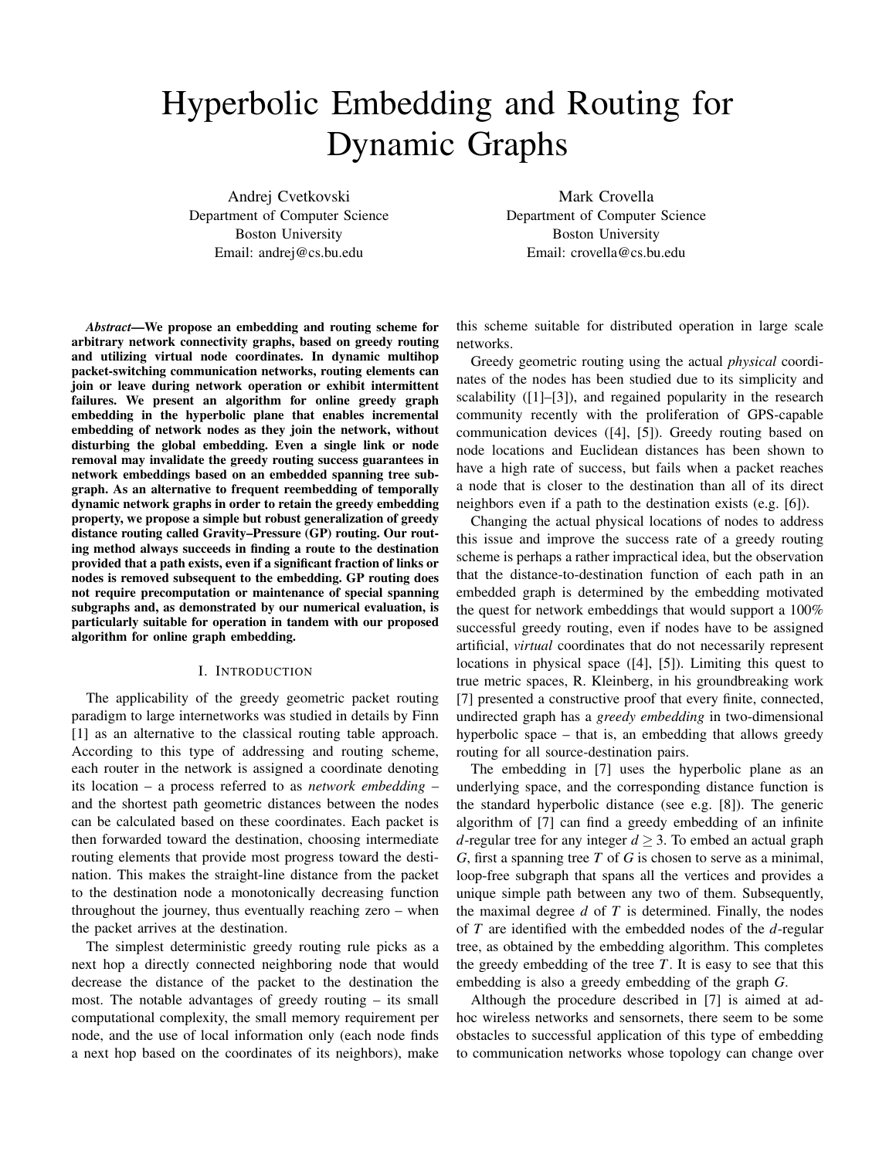# Hyperbolic Embedding and Routing for Dynamic Graphs

Andrej Cvetkovski Department of Computer Science Boston University Email: andrej@cs.bu.edu

Mark Crovella Department of Computer Science Boston University Email: crovella@cs.bu.edu

*Abstract***—We propose an embedding and routing scheme for arbitrary network connectivity graphs, based on greedy routing and utilizing virtual node coordinates. In dynamic multihop packet-switching communication networks, routing elements can join or leave during network operation or exhibit intermittent failures. We present an algorithm for online greedy graph embedding in the hyperbolic plane that enables incremental embedding of network nodes as they join the network, without disturbing the global embedding. Even a single link or node removal may invalidate the greedy routing success guarantees in network embeddings based on an embedded spanning tree subgraph. As an alternative to frequent reembedding of temporally dynamic network graphs in order to retain the greedy embedding property, we propose a simple but robust generalization of greedy distance routing called Gravity–Pressure (GP) routing. Our routing method always succeeds in finding a route to the destination provided that a path exists, even if a significant fraction of links or nodes is removed subsequent to the embedding. GP routing does not require precomputation or maintenance of special spanning subgraphs and, as demonstrated by our numerical evaluation, is particularly suitable for operation in tandem with our proposed algorithm for online graph embedding.**

#### I. INTRODUCTION

The applicability of the greedy geometric packet routing paradigm to large internetworks was studied in details by Finn [1] as an alternative to the classical routing table approach. According to this type of addressing and routing scheme, each router in the network is assigned a coordinate denoting its location – a process referred to as *network embedding* – and the shortest path geometric distances between the nodes can be calculated based on these coordinates. Each packet is then forwarded toward the destination, choosing intermediate routing elements that provide most progress toward the destination. This makes the straight-line distance from the packet to the destination node a monotonically decreasing function throughout the journey, thus eventually reaching zero – when the packet arrives at the destination.

The simplest deterministic greedy routing rule picks as a next hop a directly connected neighboring node that would decrease the distance of the packet to the destination the most. The notable advantages of greedy routing – its small computational complexity, the small memory requirement per node, and the use of local information only (each node finds a next hop based on the coordinates of its neighbors), make this scheme suitable for distributed operation in large scale networks.

Greedy geometric routing using the actual *physical* coordinates of the nodes has been studied due to its simplicity and scalability ([1]–[3]), and regained popularity in the research community recently with the proliferation of GPS-capable communication devices ([4], [5]). Greedy routing based on node locations and Euclidean distances has been shown to have a high rate of success, but fails when a packet reaches a node that is closer to the destination than all of its direct neighbors even if a path to the destination exists (e.g. [6]).

Changing the actual physical locations of nodes to address this issue and improve the success rate of a greedy routing scheme is perhaps a rather impractical idea, but the observation that the distance-to-destination function of each path in an embedded graph is determined by the embedding motivated the quest for network embeddings that would support a 100% successful greedy routing, even if nodes have to be assigned artificial, *virtual* coordinates that do not necessarily represent locations in physical space ([4], [5]). Limiting this quest to true metric spaces, R. Kleinberg, in his groundbreaking work [7] presented a constructive proof that every finite, connected, undirected graph has a *greedy embedding* in two-dimensional hyperbolic space – that is, an embedding that allows greedy routing for all source-destination pairs.

The embedding in [7] uses the hyperbolic plane as an underlying space, and the corresponding distance function is the standard hyperbolic distance (see e.g. [8]). The generic algorithm of [7] can find a greedy embedding of an infinite *d*-regular tree for any integer  $d \geq 3$ . To embed an actual graph *G*, first a spanning tree *T* of *G* is chosen to serve as a minimal, loop-free subgraph that spans all the vertices and provides a unique simple path between any two of them. Subsequently, the maximal degree *d* of *T* is determined. Finally, the nodes of *T* are identified with the embedded nodes of the *d*-regular tree, as obtained by the embedding algorithm. This completes the greedy embedding of the tree  $T$ . It is easy to see that this embedding is also a greedy embedding of the graph *G*.

Although the procedure described in [7] is aimed at adhoc wireless networks and sensornets, there seem to be some obstacles to successful application of this type of embedding to communication networks whose topology can change over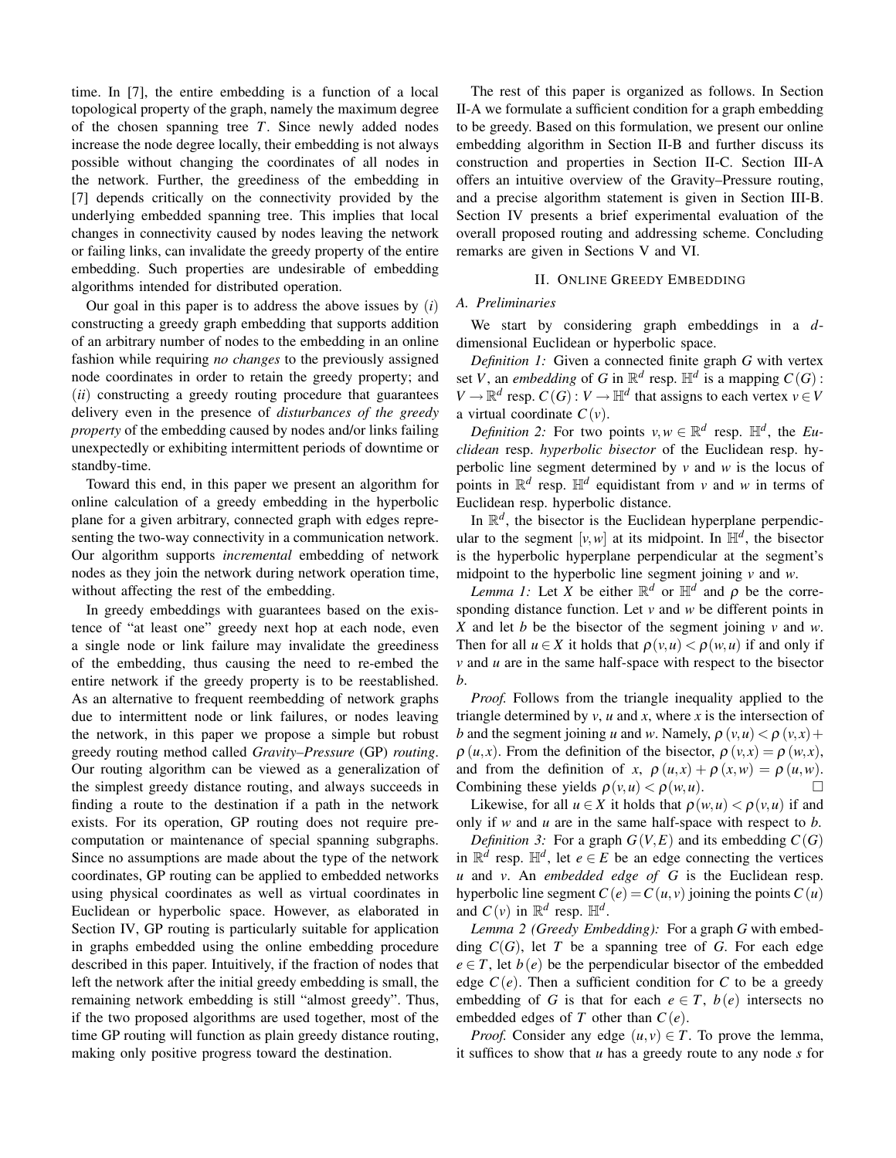time. In [7], the entire embedding is a function of a local topological property of the graph, namely the maximum degree of the chosen spanning tree *T*. Since newly added nodes increase the node degree locally, their embedding is not always possible without changing the coordinates of all nodes in the network. Further, the greediness of the embedding in [7] depends critically on the connectivity provided by the underlying embedded spanning tree. This implies that local changes in connectivity caused by nodes leaving the network or failing links, can invalidate the greedy property of the entire embedding. Such properties are undesirable of embedding algorithms intended for distributed operation.

Our goal in this paper is to address the above issues by (*i*) constructing a greedy graph embedding that supports addition of an arbitrary number of nodes to the embedding in an online fashion while requiring *no changes* to the previously assigned node coordinates in order to retain the greedy property; and (*ii*) constructing a greedy routing procedure that guarantees delivery even in the presence of *disturbances of the greedy property* of the embedding caused by nodes and/or links failing unexpectedly or exhibiting intermittent periods of downtime or standby-time.

Toward this end, in this paper we present an algorithm for online calculation of a greedy embedding in the hyperbolic plane for a given arbitrary, connected graph with edges representing the two-way connectivity in a communication network. Our algorithm supports *incremental* embedding of network nodes as they join the network during network operation time, without affecting the rest of the embedding.

In greedy embeddings with guarantees based on the existence of "at least one" greedy next hop at each node, even a single node or link failure may invalidate the greediness of the embedding, thus causing the need to re-embed the entire network if the greedy property is to be reestablished. As an alternative to frequent reembedding of network graphs due to intermittent node or link failures, or nodes leaving the network, in this paper we propose a simple but robust greedy routing method called *Gravity–Pressure* (GP) *routing*. Our routing algorithm can be viewed as a generalization of the simplest greedy distance routing, and always succeeds in finding a route to the destination if a path in the network exists. For its operation, GP routing does not require precomputation or maintenance of special spanning subgraphs. Since no assumptions are made about the type of the network coordinates, GP routing can be applied to embedded networks using physical coordinates as well as virtual coordinates in Euclidean or hyperbolic space. However, as elaborated in Section IV, GP routing is particularly suitable for application in graphs embedded using the online embedding procedure described in this paper. Intuitively, if the fraction of nodes that left the network after the initial greedy embedding is small, the remaining network embedding is still "almost greedy". Thus, if the two proposed algorithms are used together, most of the time GP routing will function as plain greedy distance routing, making only positive progress toward the destination.

The rest of this paper is organized as follows. In Section II-A we formulate a sufficient condition for a graph embedding to be greedy. Based on this formulation, we present our online embedding algorithm in Section II-B and further discuss its construction and properties in Section II-C. Section III-A offers an intuitive overview of the Gravity–Pressure routing, and a precise algorithm statement is given in Section III-B. Section IV presents a brief experimental evaluation of the overall proposed routing and addressing scheme. Concluding remarks are given in Sections V and VI.

## II. ONLINE GREEDY EMBEDDING

## *A. Preliminaries*

We start by considering graph embeddings in a *d*dimensional Euclidean or hyperbolic space.

*Definition 1:* Given a connected finite graph *G* with vertex set *V*, an *embedding* of *G* in  $\mathbb{R}^d$  resp.  $\mathbb{H}^d$  is a mapping  $C(G)$ :  $V \to \mathbb{R}^d$  resp.  $C(G) : V \to \mathbb{H}^d$  that assigns to each vertex  $v \in V$ a virtual coordinate  $C(v)$ .

*Definition 2:* For two points  $v, w \in \mathbb{R}^d$  resp.  $\mathbb{H}^d$ , the *Euclidean* resp. *hyperbolic bisector* of the Euclidean resp. hyperbolic line segment determined by *v* and *w* is the locus of points in  $\mathbb{R}^d$  resp.  $\mathbb{H}^d$  equidistant from *v* and *w* in terms of Euclidean resp. hyperbolic distance.

In  $\mathbb{R}^d$ , the bisector is the Euclidean hyperplane perpendicular to the segment  $[v, w]$  at its midpoint. In  $\mathbb{H}^d$ , the bisector is the hyperbolic hyperplane perpendicular at the segment's midpoint to the hyperbolic line segment joining *v* and *w*.

*Lemma 1:* Let *X* be either  $\mathbb{R}^d$  or  $\mathbb{H}^d$  and  $\rho$  be the corresponding distance function. Let *v* and *w* be different points in *X* and let *b* be the bisector of the segment joining *v* and *w*. Then for all  $u \in X$  it holds that  $\rho(v, u) < \rho(w, u)$  if and only if *v* and *u* are in the same half-space with respect to the bisector *b*.

*Proof.* Follows from the triangle inequality applied to the triangle determined by  $v$ ,  $u$  and  $x$ , where  $x$  is the intersection of *b* and the segment joining *u* and *w*. Namely,  $\rho$  (*v*, *u*)  $\lt \rho$  (*v*, *x*) +  $\rho$  (*u*,*x*). From the definition of the bisector,  $\rho$  (*v*,*x*) =  $\rho$  (*w*,*x*), and from the definition of *x*,  $\rho(u,x) + \rho(x,w) = \rho(u,w)$ . Combining these yields  $\rho(v, u) < \rho(w, u)$ .

Likewise, for all  $u \in X$  it holds that  $\rho(w, u) < \rho(v, u)$  if and only if *w* and *u* are in the same half-space with respect to *b*.

*Definition 3:* For a graph  $G(V, E)$  and its embedding  $C(G)$ in  $\mathbb{R}^d$  resp.  $\mathbb{H}^d$ , let  $e \in E$  be an edge connecting the vertices *u* and *v*. An *embedded edge of G* is the Euclidean resp. hyperbolic line segment  $C(e) = C(u, v)$  joining the points  $C(u)$ and  $C(v)$  in  $\mathbb{R}^d$  resp.  $\mathbb{H}^d$ .

*Lemma 2 (Greedy Embedding):* For a graph *G* with embedding *C*(*G*), let *T* be a spanning tree of *G*. For each edge  $e \in T$ , let  $b(e)$  be the perpendicular bisector of the embedded edge  $C(e)$ . Then a sufficient condition for C to be a greedy embedding of *G* is that for each  $e \in T$ ,  $b(e)$  intersects no embedded edges of  $T$  other than  $C(e)$ .

*Proof.* Consider any edge  $(u, v) \in T$ . To prove the lemma, it suffices to show that *u* has a greedy route to any node *s* for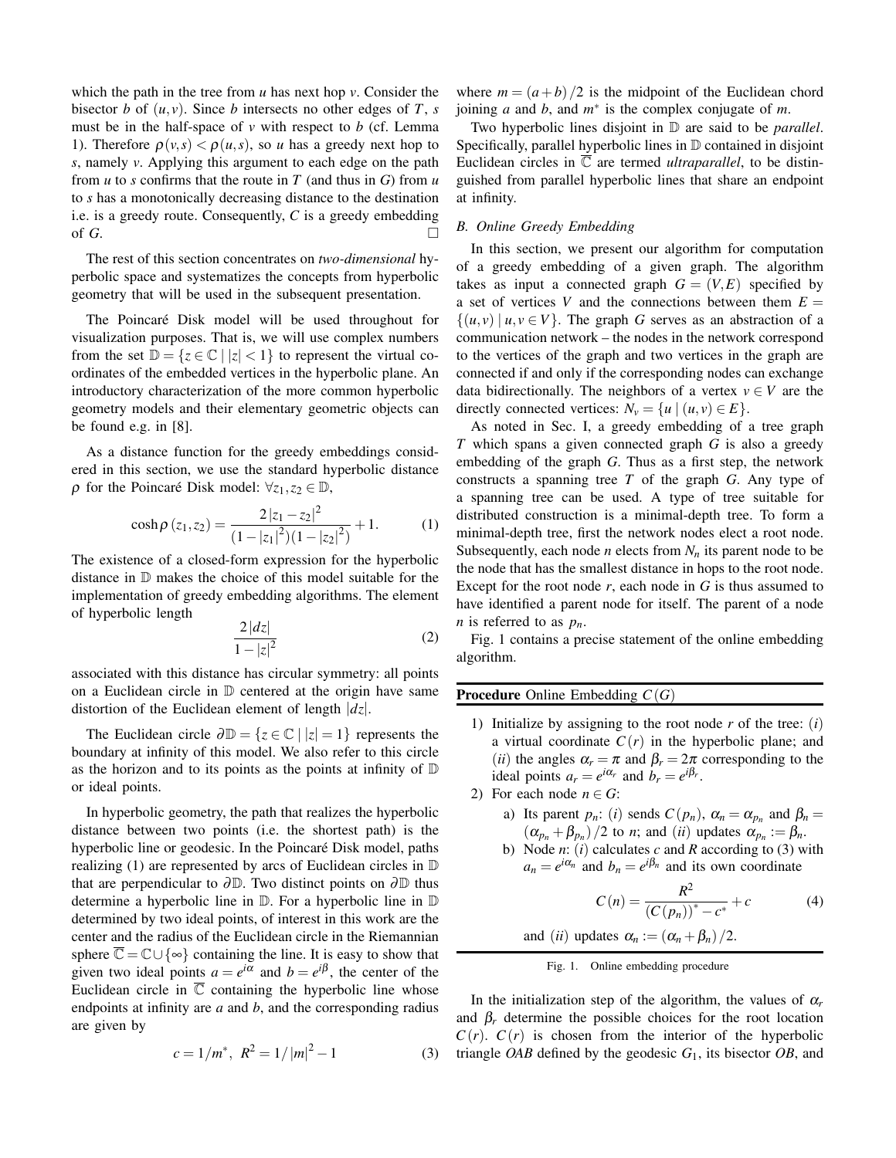which the path in the tree from *u* has next hop *v*. Consider the bisector *b* of  $(u, v)$ . Since *b* intersects no other edges of *T*, *s* must be in the half-space of *v* with respect to *b* (cf. Lemma 1). Therefore  $\rho(v,s) < \rho(u,s)$ , so *u* has a greedy next hop to *s*, namely *v*. Applying this argument to each edge on the path from *u* to *s* confirms that the route in *T* (and thus in *G*) from *u* to *s* has a monotonically decreasing distance to the destination i.e. is a greedy route. Consequently, *C* is a greedy embedding of  $G$ .

The rest of this section concentrates on *two-dimensional* hyperbolic space and systematizes the concepts from hyperbolic geometry that will be used in the subsequent presentation.

The Poincaré Disk model will be used throughout for visualization purposes. That is, we will use complex numbers from the set  $\mathbb{D} = \{z \in \mathbb{C} \mid |z| < 1\}$  to represent the virtual coordinates of the embedded vertices in the hyperbolic plane. An introductory characterization of the more common hyperbolic geometry models and their elementary geometric objects can be found e.g. in [8].

As a distance function for the greedy embeddings considered in this section, we use the standard hyperbolic distance  $\rho$  for the Poincaré Disk model:  $\forall z_1, z_2 \in \mathbb{D}$ ,

$$
\cosh \rho (z_1, z_2) = \frac{2|z_1 - z_2|^2}{(1 - |z_1|^2)(1 - |z_2|^2)} + 1.
$$
 (1)

The existence of a closed-form expression for the hyperbolic distance in D makes the choice of this model suitable for the implementation of greedy embedding algorithms. The element of hyperbolic length

$$
\frac{2|dz|}{1-|z|^2} \tag{2}
$$

associated with this distance has circular symmetry: all points on a Euclidean circle in D centered at the origin have same distortion of the Euclidean element of length |*dz*|.

The Euclidean circle  $\partial \mathbb{D} = \{z \in \mathbb{C} \mid |z| = 1\}$  represents the boundary at infinity of this model. We also refer to this circle as the horizon and to its points as the points at infinity of  $D$ or ideal points.

In hyperbolic geometry, the path that realizes the hyperbolic distance between two points (i.e. the shortest path) is the hyperbolic line or geodesic. In the Poincaré Disk model, paths realizing (1) are represented by arcs of Euclidean circles in D that are perpendicular to  $\partial \mathbb{D}$ . Two distinct points on  $\partial \mathbb{D}$  thus determine a hyperbolic line in D. For a hyperbolic line in D determined by two ideal points, of interest in this work are the center and the radius of the Euclidean circle in the Riemannian sphere  $\overline{\mathbb{C}} = \mathbb{C} \cup \{ \infty \}$  containing the line. It is easy to show that given two ideal points  $a = e^{i\alpha}$  and  $b = e^{i\beta}$ , the center of the Euclidean circle in  $\overline{C}$  containing the hyperbolic line whose endpoints at infinity are *a* and *b*, and the corresponding radius are given by

$$
c = 1/m^*, \ R^2 = 1/|m|^2 - 1 \tag{3}
$$

where  $m = (a + b)/2$  is the midpoint of the Euclidean chord joining *a* and *b*, and *m*<sup>∗</sup> is the complex conjugate of *m*.

Two hyperbolic lines disjoint in D are said to be *parallel*. Specifically, parallel hyperbolic lines in D contained in disjoint Euclidean circles in  $\overline{C}$  are termed *ultraparallel*, to be distinguished from parallel hyperbolic lines that share an endpoint at infinity.

## *B. Online Greedy Embedding*

In this section, we present our algorithm for computation of a greedy embedding of a given graph. The algorithm takes as input a connected graph  $G = (V, E)$  specified by a set of vertices *V* and the connections between them  $E =$  $\{(u, v) | u, v \in V\}$ . The graph *G* serves as an abstraction of a communication network – the nodes in the network correspond to the vertices of the graph and two vertices in the graph are connected if and only if the corresponding nodes can exchange data bidirectionally. The neighbors of a vertex  $v \in V$  are the directly connected vertices:  $N_v = \{u \mid (u, v) \in E\}.$ 

As noted in Sec. I, a greedy embedding of a tree graph *T* which spans a given connected graph *G* is also a greedy embedding of the graph *G*. Thus as a first step, the network constructs a spanning tree *T* of the graph *G*. Any type of a spanning tree can be used. A type of tree suitable for distributed construction is a minimal-depth tree. To form a minimal-depth tree, first the network nodes elect a root node. Subsequently, each node *n* elects from  $N_n$  its parent node to be the node that has the smallest distance in hops to the root node. Except for the root node *r*, each node in *G* is thus assumed to have identified a parent node for itself. The parent of a node *n* is referred to as  $p_n$ .

Fig. 1 contains a precise statement of the online embedding algorithm.

**Procedure** Online Embedding *C*(*G*)

- 1) Initialize by assigning to the root node *r* of the tree: (*i*) a virtual coordinate  $C(r)$  in the hyperbolic plane; and (*ii*) the angles  $\alpha_r = \pi$  and  $\beta_r = 2\pi$  corresponding to the ideal points  $a_r = e^{i\alpha_r}$  and  $b_r = e^{i\beta_r}$ .
- 2) For each node  $n \in G$ :

a) Its parent  $p_n$ : (*i*) sends  $C(p_n)$ ,  $\alpha_n = \alpha_{p_n}$  and  $\beta_n =$  $(\alpha_{p_n} + \beta_{p_n})/2$  to *n*; and *(ii)* updates  $\alpha_{p_n} := \beta_n$ .

b) Node *n*: (*i*) calculates *c* and *R* according to (3) with  $a_n = e^{i\alpha_n}$  and  $b_n = e^{i\beta_n}$  and its own coordinate

$$
C(n) = \frac{R^2}{(C(p_n))^* - c^*} + c
$$
 (4)

and (*ii*) updates  $\alpha_n := (\alpha_n + \beta_n)/2$ .

Fig. 1. Online embedding procedure

In the initialization step of the algorithm, the values of  $\alpha_r$ and  $\beta_r$  determine the possible choices for the root location  $C(r)$ .  $C(r)$  is chosen from the interior of the hyperbolic triangle *OAB* defined by the geodesic *G*1, its bisector *OB*, and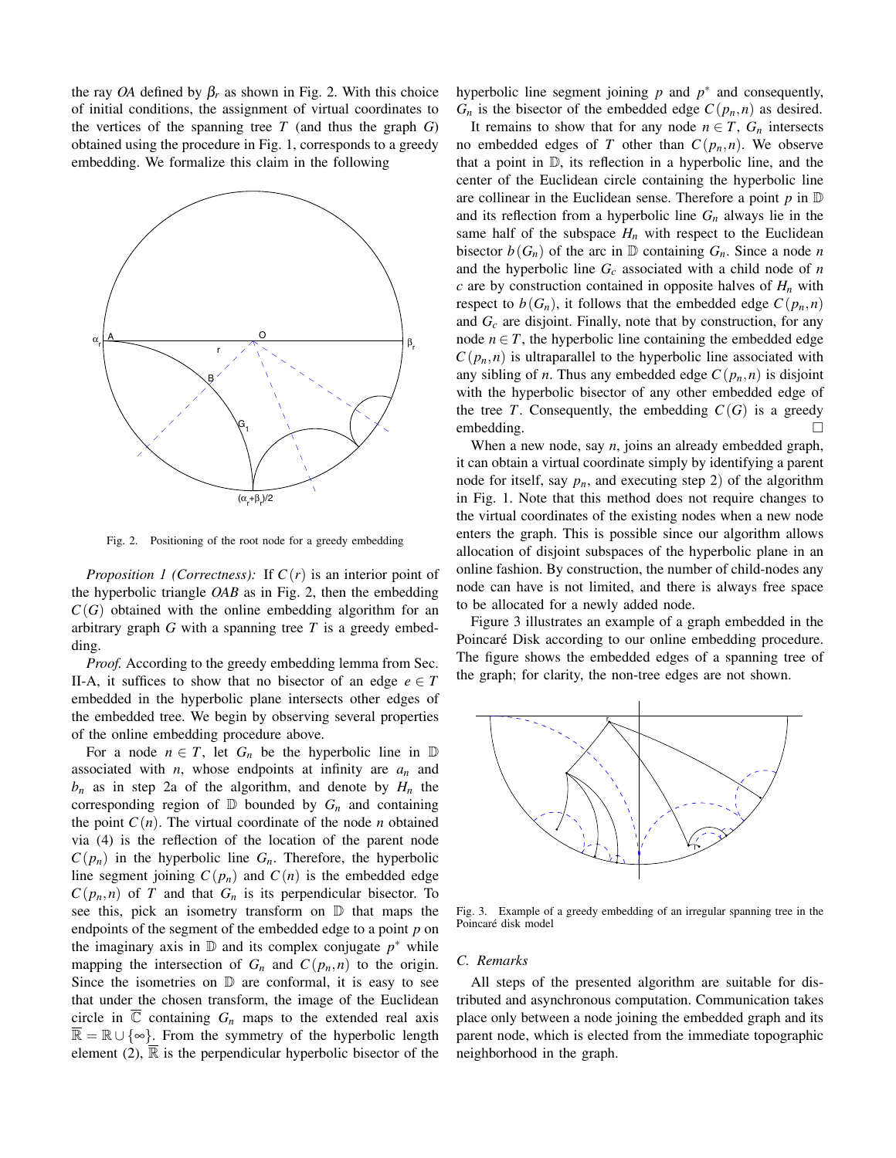the ray *OA* defined by  $\beta_r$  as shown in Fig. 2. With this choice of initial conditions, the assignment of virtual coordinates to the vertices of the spanning tree  $T$  (and thus the graph  $G$ ) obtained using the procedure in Fig. 1, corresponds to a greedy embedding. We formalize this claim in the following



Fig. 2. Positioning of the root node for a greedy embedding

*Proposition 1 (Correctness):* If  $C(r)$  is an interior point of the hyperbolic triangle *OAB* as in Fig. 2, then the embedding  $C(G)$  obtained with the online embedding algorithm for an arbitrary graph *G* with a spanning tree *T* is a greedy embedding.

*Proof.* According to the greedy embedding lemma from Sec. II-A, it suffices to show that no bisector of an edge  $e \in T$ embedded in the hyperbolic plane intersects other edges of the embedded tree. We begin by observing several properties of the online embedding procedure above.

For a node  $n \in T$ , let  $G_n$  be the hyperbolic line in  $\mathbb D$ associated with *n*, whose endpoints at infinity are *an* and  $b_n$  as in step 2a of the algorithm, and denote by  $H_n$  the corresponding region of  $D$  bounded by  $G_n$  and containing the point  $C(n)$ . The virtual coordinate of the node *n* obtained via (4) is the reflection of the location of the parent node  $C(p_n)$  in the hyperbolic line  $G_n$ . Therefore, the hyperbolic line segment joining  $C(p_n)$  and  $C(n)$  is the embedded edge  $C(p_n, n)$  of *T* and that  $G_n$  is its perpendicular bisector. To see this, pick an isometry transform on D that maps the endpoints of the segment of the embedded edge to a point *p* on the imaginary axis in  $D$  and its complex conjugate  $p^*$  while mapping the intersection of  $G_n$  and  $C(p_n, n)$  to the origin. Since the isometries on  $D$  are conformal, it is easy to see that under the chosen transform, the image of the Euclidean circle in  $\overline{\mathbb{C}}$  containing  $G_n$  maps to the extended real axis  $\overline{\mathbb{R}} = \mathbb{R} \cup \{\infty\}.$  From the symmetry of the hyperbolic length element (2),  $\overline{\mathbb{R}}$  is the perpendicular hyperbolic bisector of the hyperbolic line segment joining *p* and *p*<sup>∗</sup> and consequently,  $G_n$  is the bisector of the embedded edge  $C(p_n, n)$  as desired.

It remains to show that for any node  $n \in T$ ,  $G_n$  intersects no embedded edges of *T* other than  $C(p_n, n)$ . We observe that a point in  $\mathbb{D}$ , its reflection in a hyperbolic line, and the center of the Euclidean circle containing the hyperbolic line are collinear in the Euclidean sense. Therefore a point *p* in D and its reflection from a hyperbolic line  $G_n$  always lie in the same half of the subspace  $H_n$  with respect to the Euclidean bisector  $b(G_n)$  of the arc in  $D$  containing  $G_n$ . Since a node *n* and the hyperbolic line *Gc* associated with a child node of *n*  $c$  are by construction contained in opposite halves of  $H_n$  with respect to  $b(G_n)$ , it follows that the embedded edge  $C(p_n,n)$ and *Gc* are disjoint. Finally, note that by construction, for any node  $n \in T$ , the hyperbolic line containing the embedded edge  $C(p_n, n)$  is ultraparallel to the hyperbolic line associated with any sibling of *n*. Thus any embedded edge  $C(p_n, n)$  is disjoint with the hyperbolic bisector of any other embedded edge of the tree *T*. Consequently, the embedding  $C(G)$  is a greedy embedding.

When a new node, say *n*, joins an already embedded graph, it can obtain a virtual coordinate simply by identifying a parent node for itself, say  $p_n$ , and executing step 2) of the algorithm in Fig. 1. Note that this method does not require changes to the virtual coordinates of the existing nodes when a new node enters the graph. This is possible since our algorithm allows allocation of disjoint subspaces of the hyperbolic plane in an online fashion. By construction, the number of child-nodes any node can have is not limited, and there is always free space to be allocated for a newly added node.

Figure 3 illustrates an example of a graph embedded in the Poincaré Disk according to our online embedding procedure. The figure shows the embedded edges of a spanning tree of the graph; for clarity, the non-tree edges are not shown.



Fig. 3. Example of a greedy embedding of an irregular spanning tree in the Poincaré disk model

## *C. Remarks*

All steps of the presented algorithm are suitable for distributed and asynchronous computation. Communication takes place only between a node joining the embedded graph and its parent node, which is elected from the immediate topographic neighborhood in the graph.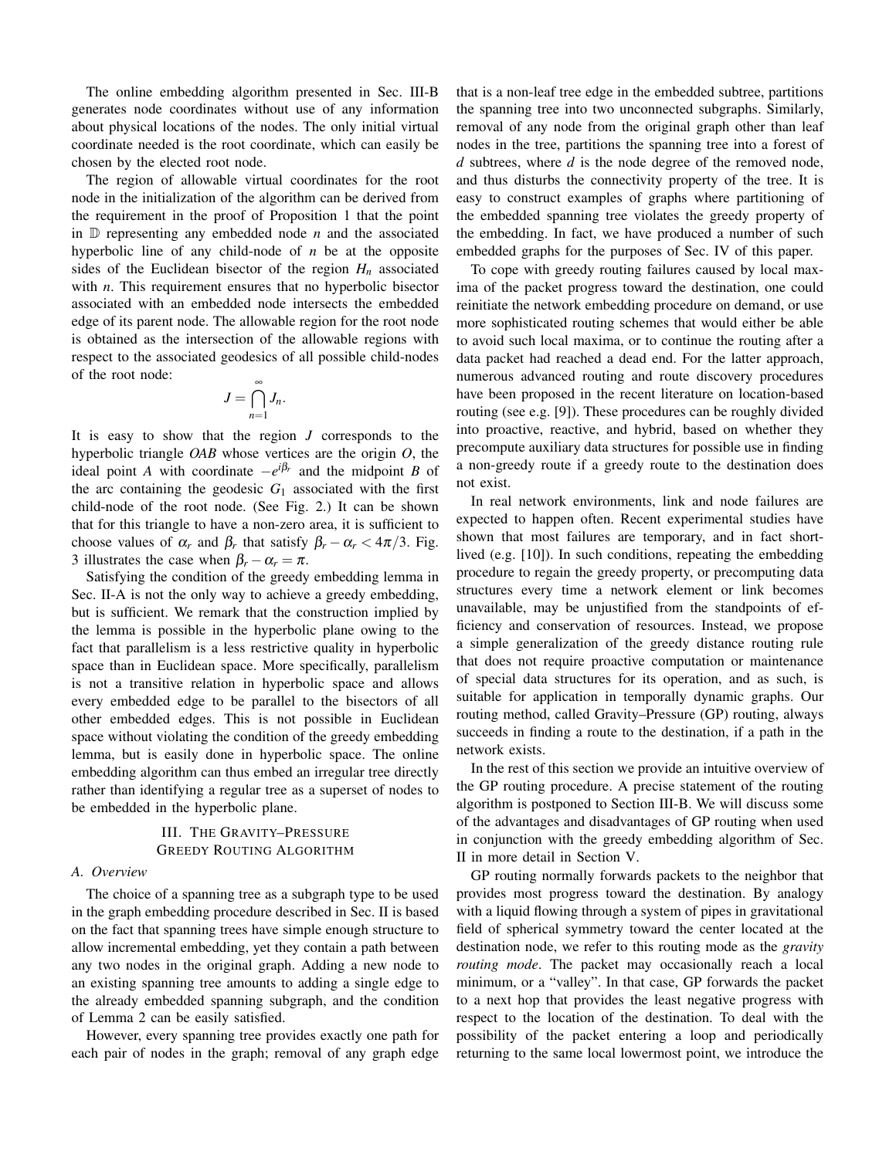The online embedding algorithm presented in Sec. III-B generates node coordinates without use of any information about physical locations of the nodes. The only initial virtual coordinate needed is the root coordinate, which can easily be chosen by the elected root node.

The region of allowable virtual coordinates for the root node in the initialization of the algorithm can be derived from the requirement in the proof of Proposition 1 that the point in D representing any embedded node *n* and the associated hyperbolic line of any child-node of *n* be at the opposite sides of the Euclidean bisector of the region  $H_n$  associated with *n*. This requirement ensures that no hyperbolic bisector associated with an embedded node intersects the embedded edge of its parent node. The allowable region for the root node is obtained as the intersection of the allowable regions with respect to the associated geodesics of all possible child-nodes of the root node: ∞

$$
J=\bigcap_{n=1}J_n.
$$

It is easy to show that the region *J* corresponds to the hyperbolic triangle *OAB* whose vertices are the origin *O*, the ideal point *A* with coordinate  $-e^{i\beta_r}$  and the midpoint *B* of the arc containing the geodesic  $G_1$  associated with the first child-node of the root node. (See Fig. 2.) It can be shown that for this triangle to have a non-zero area, it is sufficient to choose values of  $\alpha_r$  and  $\beta_r$  that satisfy  $\beta_r - \alpha_r < 4\pi/3$ . Fig. 3 illustrates the case when  $\beta_r - \alpha_r = \pi$ .

Satisfying the condition of the greedy embedding lemma in Sec. II-A is not the only way to achieve a greedy embedding, but is sufficient. We remark that the construction implied by the lemma is possible in the hyperbolic plane owing to the fact that parallelism is a less restrictive quality in hyperbolic space than in Euclidean space. More specifically, parallelism is not a transitive relation in hyperbolic space and allows every embedded edge to be parallel to the bisectors of all other embedded edges. This is not possible in Euclidean space without violating the condition of the greedy embedding lemma, but is easily done in hyperbolic space. The online embedding algorithm can thus embed an irregular tree directly rather than identifying a regular tree as a superset of nodes to be embedded in the hyperbolic plane.

# III. THE GRAVITY–PRESSURE GREEDY ROUTING ALGORITHM

#### *A. Overview*

The choice of a spanning tree as a subgraph type to be used in the graph embedding procedure described in Sec. II is based on the fact that spanning trees have simple enough structure to allow incremental embedding, yet they contain a path between any two nodes in the original graph. Adding a new node to an existing spanning tree amounts to adding a single edge to the already embedded spanning subgraph, and the condition of Lemma 2 can be easily satisfied.

However, every spanning tree provides exactly one path for each pair of nodes in the graph; removal of any graph edge that is a non-leaf tree edge in the embedded subtree, partitions the spanning tree into two unconnected subgraphs. Similarly, removal of any node from the original graph other than leaf nodes in the tree, partitions the spanning tree into a forest of *d* subtrees, where *d* is the node degree of the removed node, and thus disturbs the connectivity property of the tree. It is easy to construct examples of graphs where partitioning of the embedded spanning tree violates the greedy property of the embedding. In fact, we have produced a number of such embedded graphs for the purposes of Sec. IV of this paper.

To cope with greedy routing failures caused by local maxima of the packet progress toward the destination, one could reinitiate the network embedding procedure on demand, or use more sophisticated routing schemes that would either be able to avoid such local maxima, or to continue the routing after a data packet had reached a dead end. For the latter approach, numerous advanced routing and route discovery procedures have been proposed in the recent literature on location-based routing (see e.g. [9]). These procedures can be roughly divided into proactive, reactive, and hybrid, based on whether they precompute auxiliary data structures for possible use in finding a non-greedy route if a greedy route to the destination does not exist.

In real network environments, link and node failures are expected to happen often. Recent experimental studies have shown that most failures are temporary, and in fact shortlived (e.g. [10]). In such conditions, repeating the embedding procedure to regain the greedy property, or precomputing data structures every time a network element or link becomes unavailable, may be unjustified from the standpoints of efficiency and conservation of resources. Instead, we propose a simple generalization of the greedy distance routing rule that does not require proactive computation or maintenance of special data structures for its operation, and as such, is suitable for application in temporally dynamic graphs. Our routing method, called Gravity–Pressure (GP) routing, always succeeds in finding a route to the destination, if a path in the network exists.

In the rest of this section we provide an intuitive overview of the GP routing procedure. A precise statement of the routing algorithm is postponed to Section III-B. We will discuss some of the advantages and disadvantages of GP routing when used in conjunction with the greedy embedding algorithm of Sec. II in more detail in Section V.

GP routing normally forwards packets to the neighbor that provides most progress toward the destination. By analogy with a liquid flowing through a system of pipes in gravitational field of spherical symmetry toward the center located at the destination node, we refer to this routing mode as the *gravity routing mode*. The packet may occasionally reach a local minimum, or a "valley". In that case, GP forwards the packet to a next hop that provides the least negative progress with respect to the location of the destination. To deal with the possibility of the packet entering a loop and periodically returning to the same local lowermost point, we introduce the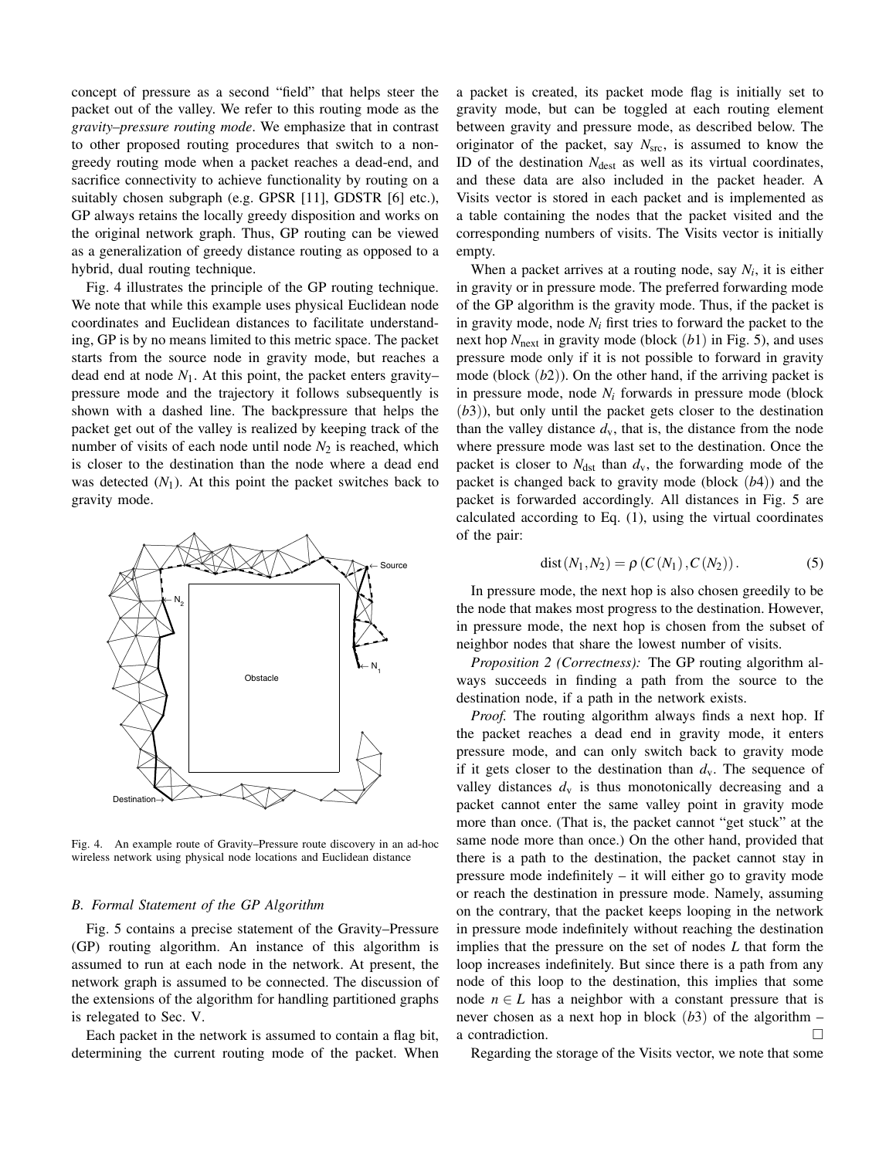concept of pressure as a second "field" that helps steer the packet out of the valley. We refer to this routing mode as the *gravity–pressure routing mode*. We emphasize that in contrast to other proposed routing procedures that switch to a nongreedy routing mode when a packet reaches a dead-end, and sacrifice connectivity to achieve functionality by routing on a suitably chosen subgraph (e.g. GPSR [11], GDSTR [6] etc.), GP always retains the locally greedy disposition and works on the original network graph. Thus, GP routing can be viewed as a generalization of greedy distance routing as opposed to a hybrid, dual routing technique.

Fig. 4 illustrates the principle of the GP routing technique. We note that while this example uses physical Euclidean node coordinates and Euclidean distances to facilitate understanding, GP is by no means limited to this metric space. The packet starts from the source node in gravity mode, but reaches a dead end at node  $N_1$ . At this point, the packet enters gravity– pressure mode and the trajectory it follows subsequently is shown with a dashed line. The backpressure that helps the packet get out of the valley is realized by keeping track of the number of visits of each node until node  $N_2$  is reached, which is closer to the destination than the node where a dead end was detected  $(N_1)$ . At this point the packet switches back to gravity mode.



Fig. 4. An example route of Gravity–Pressure route discovery in an ad-hoc wireless network using physical node locations and Euclidean distance

#### *B. Formal Statement of the GP Algorithm*

Fig. 5 contains a precise statement of the Gravity–Pressure (GP) routing algorithm. An instance of this algorithm is assumed to run at each node in the network. At present, the network graph is assumed to be connected. The discussion of the extensions of the algorithm for handling partitioned graphs is relegated to Sec. V.

Each packet in the network is assumed to contain a flag bit, determining the current routing mode of the packet. When a packet is created, its packet mode flag is initially set to gravity mode, but can be toggled at each routing element between gravity and pressure mode, as described below. The originator of the packet, say  $N_{src}$ , is assumed to know the ID of the destination  $N_{\text{dest}}$  as well as its virtual coordinates, and these data are also included in the packet header. A Visits vector is stored in each packet and is implemented as a table containing the nodes that the packet visited and the corresponding numbers of visits. The Visits vector is initially empty.

When a packet arrives at a routing node, say  $N_i$ , it is either in gravity or in pressure mode. The preferred forwarding mode of the GP algorithm is the gravity mode. Thus, if the packet is in gravity mode, node  $N_i$  first tries to forward the packet to the next hop *N*next in gravity mode (block (*b*1) in Fig. 5), and uses pressure mode only if it is not possible to forward in gravity mode (block (*b*2)). On the other hand, if the arriving packet is in pressure mode, node *Ni* forwards in pressure mode (block (*b*3)), but only until the packet gets closer to the destination than the valley distance  $d_v$ , that is, the distance from the node where pressure mode was last set to the destination. Once the packet is closer to  $N_{\text{dst}}$  than  $d_{\text{v}}$ , the forwarding mode of the packet is changed back to gravity mode (block (*b*4)) and the packet is forwarded accordingly. All distances in Fig. 5 are calculated according to Eq. (1), using the virtual coordinates of the pair:

dist 
$$
(N_1, N_2) = \rho(C(N_1), C(N_2))
$$
. (5)

In pressure mode, the next hop is also chosen greedily to be the node that makes most progress to the destination. However, in pressure mode, the next hop is chosen from the subset of neighbor nodes that share the lowest number of visits.

*Proposition 2 (Correctness):* The GP routing algorithm always succeeds in finding a path from the source to the destination node, if a path in the network exists.

*Proof.* The routing algorithm always finds a next hop. If the packet reaches a dead end in gravity mode, it enters pressure mode, and can only switch back to gravity mode if it gets closer to the destination than  $d_v$ . The sequence of valley distances  $d_v$  is thus monotonically decreasing and a packet cannot enter the same valley point in gravity mode more than once. (That is, the packet cannot "get stuck" at the same node more than once.) On the other hand, provided that there is a path to the destination, the packet cannot stay in pressure mode indefinitely – it will either go to gravity mode or reach the destination in pressure mode. Namely, assuming on the contrary, that the packet keeps looping in the network in pressure mode indefinitely without reaching the destination implies that the pressure on the set of nodes *L* that form the loop increases indefinitely. But since there is a path from any node of this loop to the destination, this implies that some node  $n \in L$  has a neighbor with a constant pressure that is never chosen as a next hop in block (*b*3) of the algorithm – a contradiction.

Regarding the storage of the Visits vector, we note that some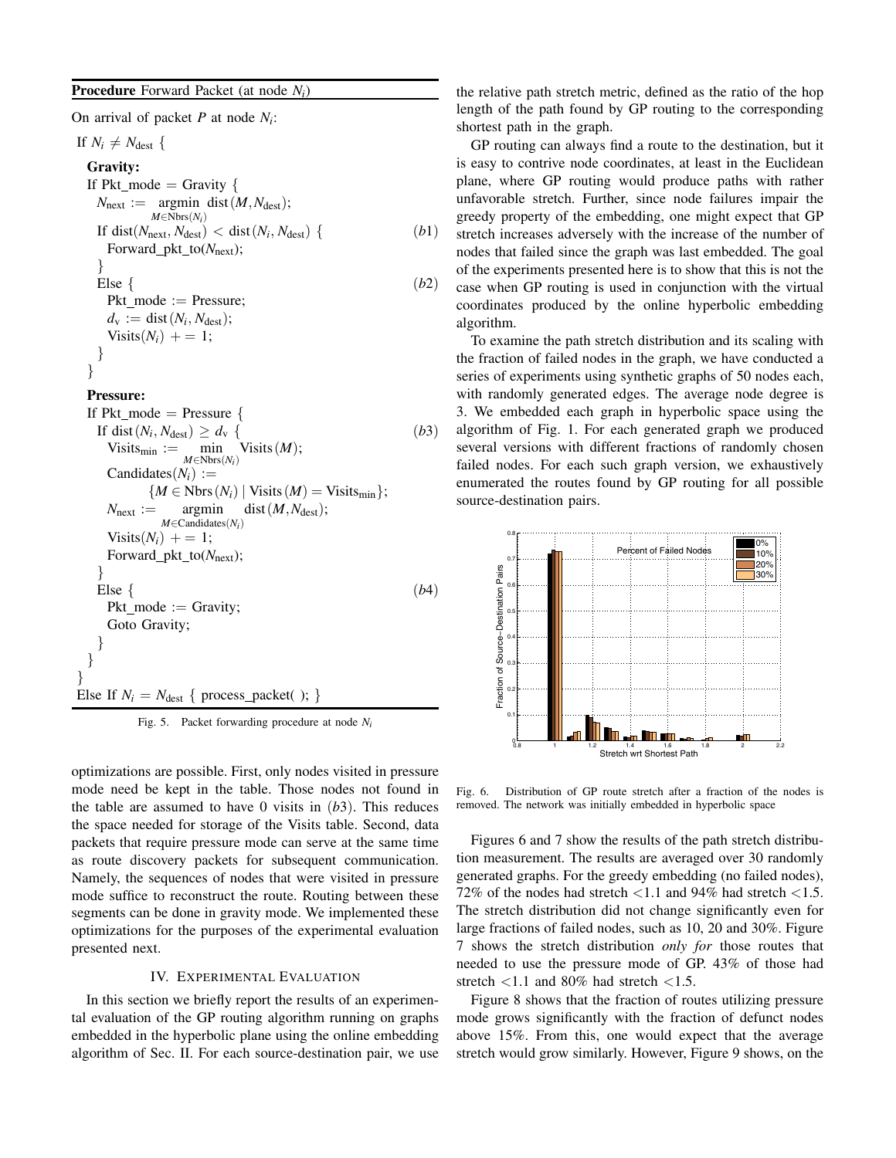# **Procedure** Forward Packet (at node *Ni*)

On arrival of packet *P* at node *Ni*:

If  $N_i \neq N_{\text{dest}}$  { **Gravity:** If Pkt mode  $=$  Gravity {  $N_{\text{next}} := \text{argmin dist}(M, N_{\text{dest}});$ *M*∈Nbrs(*Ni*) If dist( $N_{\text{next}}, N_{\text{dest}}$ ) < dist( $N_i, N_{\text{dest}}$ ) { (*b*1) Forward\_pkt\_to( $N_{\text{next}}$ ); } Else { (*b*2)

 $Pkt$  mode := Pressure;  $d_v := \text{dist}(N_i, N_{\text{dest}});$  $Visits(N_i) += 1;$ } }

**Pressure:**

```
If Pkt mode = Pressure {
   If dist(N_i, N_{\text{dest}}) \ge d_v { (b3)
      Visits_{\text{min}} := \min_{M \in \text{Nbrs}(N_i)}Visits(M);
      Candidates(N_i) :={M \in \text{Nbrs}(N_i) \mid \text{Visits}(M) = \text{Visits}_{\text{min}}};N_{\text{next}} := \text{argmin}M∈Candidates(Ni)
                                dist(M,N_{\text{dest}});Visits(N<sub>i</sub>) + = 1;Forward_pkt_to(N_{\text{next}});
    }
    Else { (b4)
      Pkt mode := Gravity;
      Goto Gravity;
    }
  }
}
Else If N_i = N_{\text{dest}} \{ \text{process\_packet}( \cdot ) \}
```
Fig. 5. Packet forwarding procedure at node *Ni*

optimizations are possible. First, only nodes visited in pressure mode need be kept in the table. Those nodes not found in the table are assumed to have 0 visits in  $(b3)$ . This reduces the space needed for storage of the Visits table. Second, data packets that require pressure mode can serve at the same time as route discovery packets for subsequent communication. Namely, the sequences of nodes that were visited in pressure mode suffice to reconstruct the route. Routing between these segments can be done in gravity mode. We implemented these optimizations for the purposes of the experimental evaluation presented next.

## IV. EXPERIMENTAL EVALUATION

In this section we briefly report the results of an experimental evaluation of the GP routing algorithm running on graphs embedded in the hyperbolic plane using the online embedding algorithm of Sec. II. For each source-destination pair, we use the relative path stretch metric, defined as the ratio of the hop length of the path found by GP routing to the corresponding shortest path in the graph.

GP routing can always find a route to the destination, but it is easy to contrive node coordinates, at least in the Euclidean plane, where GP routing would produce paths with rather unfavorable stretch. Further, since node failures impair the greedy property of the embedding, one might expect that GP stretch increases adversely with the increase of the number of nodes that failed since the graph was last embedded. The goal of the experiments presented here is to show that this is not the case when GP routing is used in conjunction with the virtual coordinates produced by the online hyperbolic embedding algorithm.

To examine the path stretch distribution and its scaling with the fraction of failed nodes in the graph, we have conducted a series of experiments using synthetic graphs of 50 nodes each, with randomly generated edges. The average node degree is 3. We embedded each graph in hyperbolic space using the algorithm of Fig. 1. For each generated graph we produced several versions with different fractions of randomly chosen failed nodes. For each such graph version, we exhaustively enumerated the routes found by GP routing for all possible source-destination pairs.



Fig. 6. Distribution of GP route stretch after a fraction of the nodes is removed. The network was initially embedded in hyperbolic space

Figures 6 and 7 show the results of the path stretch distribution measurement. The results are averaged over 30 randomly generated graphs. For the greedy embedding (no failed nodes), 72% of the nodes had stretch *<*1.1 and 94% had stretch *<*1.5. The stretch distribution did not change significantly even for large fractions of failed nodes, such as 10, 20 and 30%. Figure 7 shows the stretch distribution *only for* those routes that needed to use the pressure mode of GP. 43% of those had stretch *<*1.1 and 80% had stretch *<*1.5.

Figure 8 shows that the fraction of routes utilizing pressure mode grows significantly with the fraction of defunct nodes above 15%. From this, one would expect that the average stretch would grow similarly. However, Figure 9 shows, on the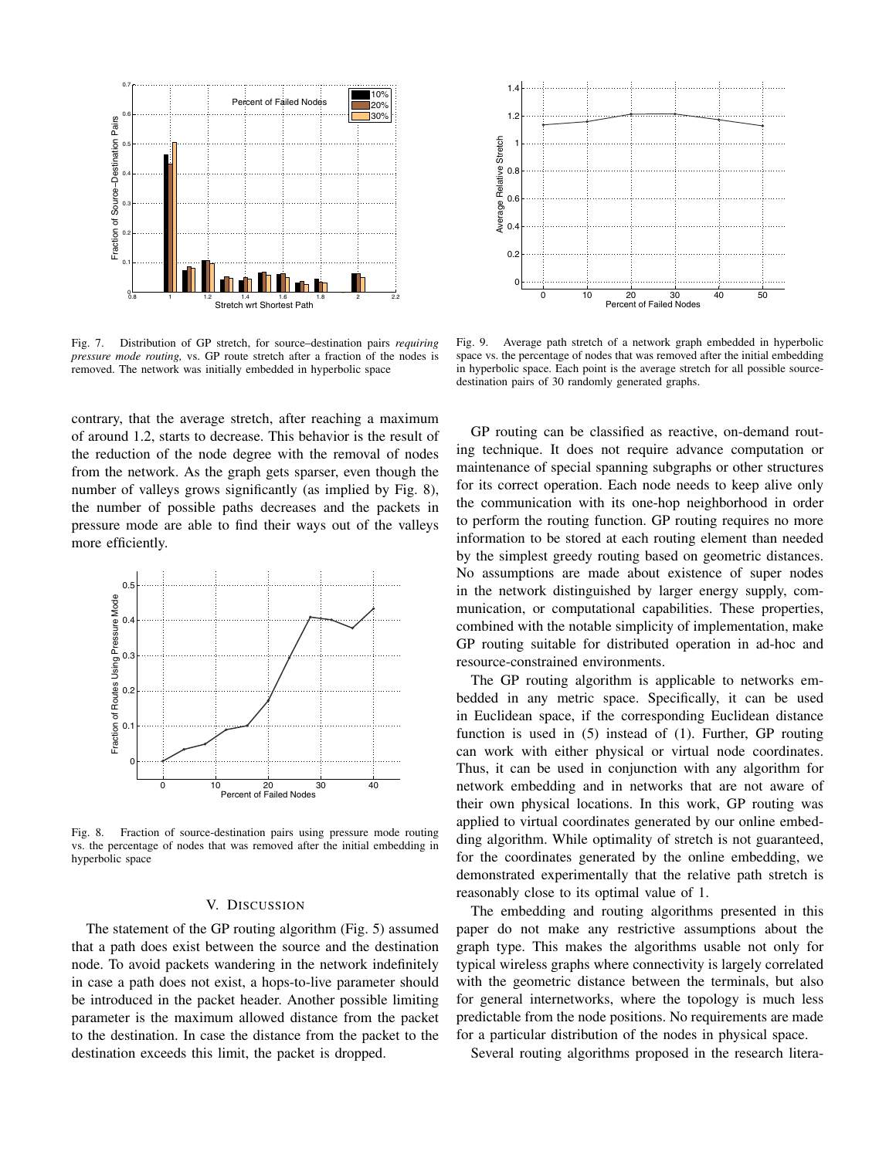

Fig. 7. Distribution of GP stretch, for source–destination pairs *requiring pressure mode routing,* vs. GP route stretch after a fraction of the nodes is removed. The network was initially embedded in hyperbolic space

contrary, that the average stretch, after reaching a maximum of around 1.2, starts to decrease. This behavior is the result of the reduction of the node degree with the removal of nodes from the network. As the graph gets sparser, even though the number of valleys grows significantly (as implied by Fig. 8), the number of possible paths decreases and the packets in pressure mode are able to find their ways out of the valleys more efficiently.



Fig. 8. Fraction of source-destination pairs using pressure mode routing vs. the percentage of nodes that was removed after the initial embedding in hyperbolic space

#### V. DISCUSSION

The statement of the GP routing algorithm (Fig. 5) assumed that a path does exist between the source and the destination node. To avoid packets wandering in the network indefinitely in case a path does not exist, a hops-to-live parameter should be introduced in the packet header. Another possible limiting parameter is the maximum allowed distance from the packet to the destination. In case the distance from the packet to the destination exceeds this limit, the packet is dropped.



Fig. 9. Average path stretch of a network graph embedded in hyperbolic space vs. the percentage of nodes that was removed after the initial embedding in hyperbolic space. Each point is the average stretch for all possible sourcedestination pairs of 30 randomly generated graphs.

GP routing can be classified as reactive, on-demand routing technique. It does not require advance computation or maintenance of special spanning subgraphs or other structures for its correct operation. Each node needs to keep alive only the communication with its one-hop neighborhood in order to perform the routing function. GP routing requires no more information to be stored at each routing element than needed by the simplest greedy routing based on geometric distances. No assumptions are made about existence of super nodes in the network distinguished by larger energy supply, communication, or computational capabilities. These properties, combined with the notable simplicity of implementation, make GP routing suitable for distributed operation in ad-hoc and resource-constrained environments.

The GP routing algorithm is applicable to networks embedded in any metric space. Specifically, it can be used in Euclidean space, if the corresponding Euclidean distance function is used in (5) instead of (1). Further, GP routing can work with either physical or virtual node coordinates. Thus, it can be used in conjunction with any algorithm for network embedding and in networks that are not aware of their own physical locations. In this work, GP routing was applied to virtual coordinates generated by our online embedding algorithm. While optimality of stretch is not guaranteed, for the coordinates generated by the online embedding, we demonstrated experimentally that the relative path stretch is reasonably close to its optimal value of 1.

The embedding and routing algorithms presented in this paper do not make any restrictive assumptions about the graph type. This makes the algorithms usable not only for typical wireless graphs where connectivity is largely correlated with the geometric distance between the terminals, but also for general internetworks, where the topology is much less predictable from the node positions. No requirements are made for a particular distribution of the nodes in physical space.

Several routing algorithms proposed in the research litera-